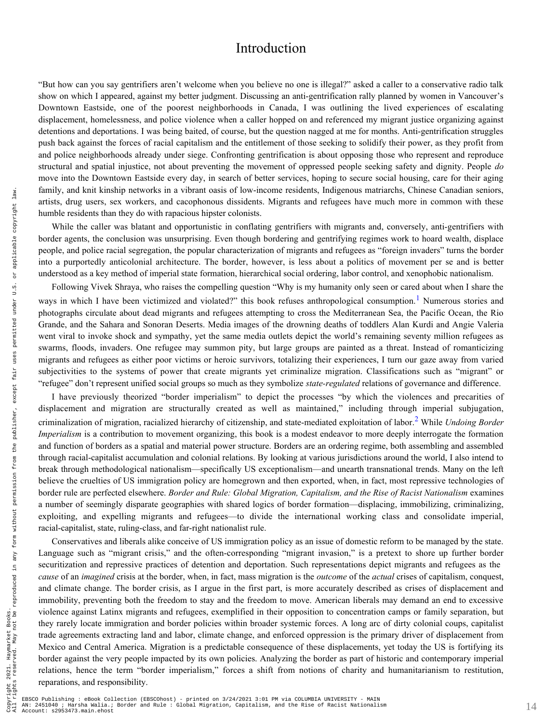## Introduction

"But how can you say gentrifiers aren't welcome when you believe no one is illegal?" asked a caller to a conservative radio talk show on which I appeared, against my better judgment. Discussing an anti-gentrification rally planned by women in Vancouver's Downtown Eastside, one of the poorest neighborhoods in Canada, I was outlining the lived experiences of escalating displacement, homelessness, and police violence when a caller hopped on and referenced my migrant justice organizing against detentions and deportations. I was being baited, of course, but the question nagged at me for months. Anti-gentrification struggles push back against the forces of racial capitalism and the entitlement of those seeking to solidify their power, as they profit from and police neighborhoods already under siege. Confronting gentrification is about opposing those who represent and reproduce structural and spatial injustice, not about preventing the movement of oppressed people seeking safety and dignity. People *do* move into the Downtown Eastside every day, in search of better services, hoping to secure social housing, care for their aging family, and knit kinship networks in a vibrant oasis of low-income residents, Indigenous matriarchs, Chinese Canadian seniors, artists, drug users, sex workers, and cacophonous dissidents. Migrants and refugees have much more in common with these humble residents than they do with rapacious hipster colonists.

While the caller was blatant and opportunistic in conflating gentrifiers with migrants and, conversely, anti-gentrifiers with border agents, the conclusion was unsurprising. Even though bordering and gentrifying regimes work to hoard wealth, displace people, and police racial segregation, the popular characterization of migrants and refugees as "foreign invaders" turns the border into a purportedly anticolonial architecture. The border, however, is less about a politics of movement per se and is better understood as a key method of imperial state formation, hierarchical social ordering, labor control, and xenophobic nationalism.

Following Vivek Shraya, who raises the compelling question "Why is my humanity only seen or cared about when I share the ways in which I have been victimized and violated?" this book refuses anthropological consumption.<sup>1</sup> Numerous stories and photographs circulate about dead migrants and refugees attempting to cross the Mediterranean Sea, the Pacific Ocean, the Rio Grande, and the Sahara and Sonoran Deserts. Media images of the drowning deaths of toddlers Alan Kurdi and Angie Valeria went viral to invoke shock and sympathy, yet the same media outlets depict the world's remaining seventy million refugees as swarms, floods, invaders. One refugee may summon pity, but large groups are painted as a threat. Instead of romanticizing migrants and refugees as either poor victims or heroic survivors, totalizing their experiences, I turn our gaze away from varied subjectivities to the systems of power that create migrants yet criminalize migration. Classifications such as "migrant" or "refugee" don't represent unified social groups so much as they symbolize *state-regulated* relations of governance and difference.

I have previously theorized "border imperialism" to depict the processes "by which the violences and precarities of displacement and migration are structurally created as well as maintained," including through imperial subjugation, criminalization of migration, racialized hierarchy of citizenship, and state-mediated exploitation of labor.<sup>2</sup> While *Undoing Border Imperialism* is a contribution to movement organizing, this book is a modest endeavor to more deeply interrogate the formation and function of borders as a spatial and material power structure. Borders are an ordering regime, both assembling and assembled through racial-capitalist accumulation and colonial relations. By looking at various jurisdictions around the world, I also intend to break through methodological nationalism—specifically US exceptionalism—and unearth transnational trends. Many on the left believe the cruelties of US immigration policy are homegrown and then exported, when, in fact, most repressive technologies of border rule are perfected elsewhere. *Border and Rule: Global Migration, Capitalism, and the Rise of Racist Nationalism* examines a number of seemingly disparate geographies with shared logics of border formation—displacing, immobilizing, criminalizing, exploiting, and expelling migrants and refugees—to divide the international working class and consolidate imperial, racial-capitalist, state, ruling-class, and far-right nationalist rule.

Conservatives and liberals alike conceive of US immigration policy as an issue of domestic reform to be managed by the state. Language such as "migrant crisis," and the often-corresponding "migrant invasion," is a pretext to shore up further border securitization and repressive practices of detention and deportation. Such representations depict migrants and refugees as the *cause* of an *imagined* crisis at the border, when, in fact, mass migration is the *outcome* of the *actual* crises of capitalism, conquest, and climate change. The border crisis, as I argue in the first part, is more accurately described as crises of displacement and immobility, preventing both the freedom to stay and the freedom to move. American liberals may demand an end to excessive violence against Latinx migrants and refugees, exemplified in their opposition to concentration camps or family separation, but they rarely locate immigration and border policies within broader systemic forces. A long arc of dirty colonial coups, capitalist trade agreements extracting land and labor, climate change, and enforced oppression is the primary driver of displacement from Mexico and Central America. Migration is a predictable consequence of these displacements, yet today the US is fortifying its border against the very people impacted by its own policies. Analyzing the border as part of historic and contemporary imperial relations, hence the term "border imperialism," forces a shift from notions of charity and humanitarianism to restitution,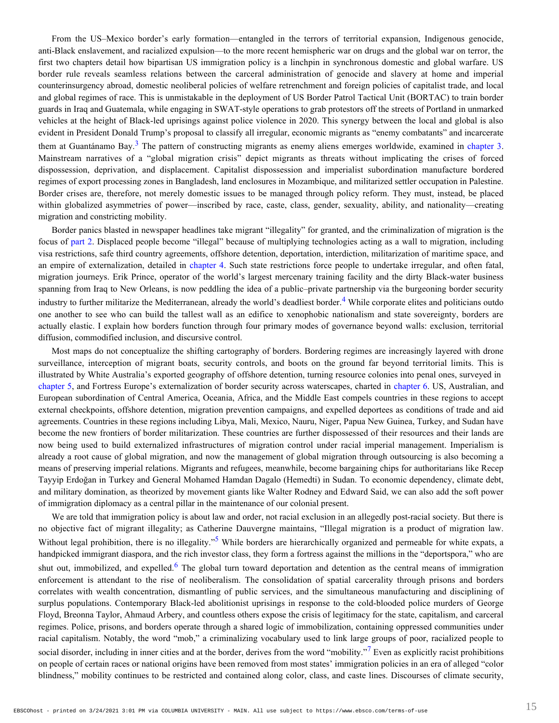From the US–Mexico border's early formation—entangled in the terrors of territorial expansion, Indigenous genocide, anti-Black enslavement, and racialized expulsion—to the more recent hemispheric war on drugs and the global war on terror, the first two chapters detail how bipartisan US immigration policy is a linchpin in synchronous domestic and global warfare. US border rule reveals seamless relations between the carceral administration of genocide and slavery at home and imperial counterinsurgency abroad, domestic neoliberal policies of welfare retrenchment and foreign policies of capitalist trade, and local and global regimes of race. This is unmistakable in the deployment of US Border Patrol Tactical Unit (BORTAC) to train border guards in Iraq and Guatemala, while engaging in SWAT-style operations to grab protestors off the streets of Portland in unmarked vehicles at the height of Black-led uprisings against police violence in 2020. This synergy between the local and global is also evident in President Donald Trump's proposal to classify all irregular, economic migrants as "enemy combatants" and incarcerate them at Guantánamo Bay.<sup>3</sup> The pattern of constructing migrants as enemy aliens emerges worldwide, examined in chapter 3. Mainstream narratives of a "global migration crisis" depict migrants as threats without implicating the crises of forced dispossession, deprivation, and displacement. Capitalist dispossession and imperialist subordination manufacture bordered regimes of export processing zones in Bangladesh, land enclosures in Mozambique, and militarized settler occupation in Palestine. Border crises are, therefore, not merely domestic issues to be managed through policy reform. They must, instead, be placed within globalized asymmetries of power—inscribed by race, caste, class, gender, sexuality, ability, and nationality—creating migration and constricting mobility.

Border panics blasted in newspaper headlines take migrant "illegality" for granted, and the criminalization of migration is the focus of part 2. Displaced people become "illegal" because of multiplying technologies acting as a wall to migration, including visa restrictions, safe third country agreements, offshore detention, deportation, interdiction, militarization of maritime space, and an empire of externalization, detailed in chapter 4. Such state restrictions force people to undertake irregular, and often fatal, migration journeys. Erik Prince, operator of the world's largest mercenary training facility and the dirty Black-water business spanning from Iraq to New Orleans, is now peddling the idea of a public–private partnership via the burgeoning border security industry to further militarize the Mediterranean, already the world's deadliest border.<sup>4</sup> While corporate elites and politicians outdo one another to see who can build the tallest wall as an edifice to xenophobic nationalism and state sovereignty, borders are actually elastic. I explain how borders function through four primary modes of governance beyond walls: exclusion, territorial diffusion, commodified inclusion, and discursive control.

Most maps do not conceptualize the shifting cartography of borders. Bordering regimes are increasingly layered with drone surveillance, interception of migrant boats, security controls, and boots on the ground far beyond territorial limits. This is illustrated by White Australia's exported geography of offshore detention, turning resource colonies into penal ones, surveyed in chapter 5, and Fortress Europe's externalization of border security across waterscapes, charted in chapter 6. US, Australian, and European subordination of Central America, Oceania, Africa, and the Middle East compels countries in these regions to accept external checkpoints, offshore detention, migration prevention campaigns, and expelled deportees as conditions of trade and aid agreements. Countries in these regions including Libya, Mali, Mexico, Nauru, Niger, Papua New Guinea, Turkey, and Sudan have become the new frontiers of border militarization. These countries are further dispossessed of their resources and their lands are now being used to build externalized infrastructures of migration control under racial imperial management. Imperialism is already a root cause of global migration, and now the management of global migration through outsourcing is also becoming a means of preserving imperial relations. Migrants and refugees, meanwhile, become bargaining chips for authoritarians like Recep Tayyip Erdoğan in Turkey and General Mohamed Hamdan Dagalo (Hemedti) in Sudan. To economic dependency, climate debt, and military domination, as theorized by movement giants like Walter Rodney and Edward Said, we can also add the soft power of immigration diplomacy as a central pillar in the maintenance of our colonial present.

We are told that immigration policy is about law and order, not racial exclusion in an allegedly post-racial society. But there is no objective fact of migrant illegality; as Catherine Dauvergne maintains, "Illegal migration is a product of migration law. Without legal prohibition, there is no illegality."<sup>5</sup> While borders are hierarchically organized and permeable for white expats, a handpicked immigrant diaspora, and the rich investor class, they form a fortress against the millions in the "deportspora," who are shut out, immobilized, and expelled.<sup>6</sup> The global turn toward deportation and detention as the central means of immigration enforcement is attendant to the rise of neoliberalism. The consolidation of spatial carcerality through prisons and borders correlates with wealth concentration, dismantling of public services, and the simultaneous manufacturing and disciplining of surplus populations. Contemporary Black-led abolitionist uprisings in response to the cold-blooded police murders of George Floyd, Breonna Taylor, Ahmaud Arbery, and countless others expose the crisis of legitimacy for the state, capitalism, and carceral regimes. Police, prisons, and borders operate through a shared logic of immobilization, containing oppressed communities under racial capitalism. Notably, the word "mob," a criminalizing vocabulary used to link large groups of poor, racialized people to social disorder, including in inner cities and at the border, derives from the word "mobility."<sup>7</sup> Even as explicitly racist prohibitions on people of certain races or national origins have been removed from most states' immigration policies in an era of alleged "color blindness," mobility continues to be restricted and contained along color, class, and caste lines. Discourses of climate security,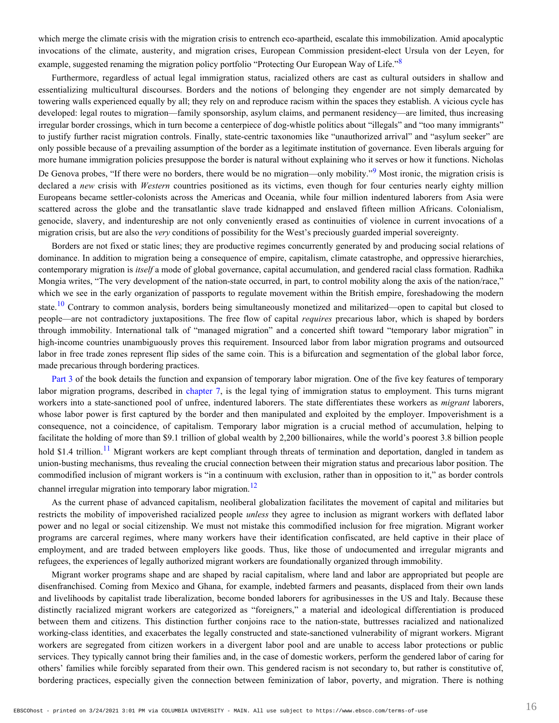which merge the climate crisis with the migration crisis to entrench eco-apartheid, escalate this immobilization. Amid apocalyptic invocations of the climate, austerity, and migration crises, European Commission president-elect Ursula von der Leyen, for example, suggested renaming the migration policy portfolio "Protecting Our European Way of Life."<sup>8</sup>

Furthermore, regardless of actual legal immigration status, racialized others are cast as cultural outsiders in shallow and essentializing multicultural discourses. Borders and the notions of belonging they engender are not simply demarcated by towering walls experienced equally by all; they rely on and reproduce racism within the spaces they establish. A vicious cycle has developed: legal routes to migration—family sponsorship, asylum claims, and permanent residency—are limited, thus increasing irregular border crossings, which in turn become a centerpiece of dog-whistle politics about "illegals" and "too many immigrants" to justify further racist migration controls. Finally, state-centric taxonomies like "unauthorized arrival" and "asylum seeker" are only possible because of a prevailing assumption of the border as a legitimate institution of governance. Even liberals arguing for more humane immigration policies presuppose the border is natural without explaining who it serves or how it functions. Nicholas De Genova probes, "If there were no borders, there would be no migration—only mobility."<sup>9</sup> Most ironic, the migration crisis is declared a *new* crisis with *Western* countries positioned as its victims, even though for four centuries nearly eighty million Europeans became settler-colonists across the Americas and Oceania, while four million indentured laborers from Asia were scattered across the globe and the transatlantic slave trade kidnapped and enslaved fifteen million Africans. Colonialism, genocide, slavery, and indentureship are not only conveniently erased as continuities of violence in current invocations of a migration crisis, but are also the *very* conditions of possibility for the West's preciously guarded imperial sovereignty.

Borders are not fixed or static lines; they are productive regimes concurrently generated by and producing social relations of dominance. In addition to migration being a consequence of empire, capitalism, climate catastrophe, and oppressive hierarchies, contemporary migration is *itself* a mode of global governance, capital accumulation, and gendered racial class formation. Radhika Mongia writes, "The very development of the nation-state occurred, in part, to control mobility along the axis of the nation/race," which we see in the early organization of passports to regulate movement within the British empire, foreshadowing the modern

state.<sup>10</sup> Contrary to common analysis, borders being simultaneously monetized and militarized—open to capital but closed to people—are not contradictory juxtapositions. The free flow of capital *requires* precarious labor, which is shaped by borders through immobility. International talk of "managed migration" and a concerted shift toward "temporary labor migration" in high-income countries unambiguously proves this requirement. Insourced labor from labor migration programs and outsourced labor in free trade zones represent flip sides of the same coin. This is a bifurcation and segmentation of the global labor force, made precarious through bordering practices.

Part 3 of the book details the function and expansion of temporary labor migration. One of the five key features of temporary labor migration programs, described in chapter 7, is the legal tying of immigration status to employment. This turns migrant workers into a state-sanctioned pool of unfree, indentured laborers. The state differentiates these workers as *migrant* laborers, whose labor power is first captured by the border and then manipulated and exploited by the employer. Impoverishment is a consequence, not a coincidence, of capitalism. Temporary labor migration is a crucial method of accumulation, helping to facilitate the holding of more than \$9.1 trillion of global wealth by 2,200 billionaires, while the world's poorest 3.8 billion people hold \$1.4 trillion.<sup>11</sup> Migrant workers are kept compliant through threats of termination and deportation, dangled in tandem as union-busting mechanisms, thus revealing the crucial connection between their migration status and precarious labor position. The commodified inclusion of migrant workers is "in a continuum with exclusion, rather than in opposition to it," as border controls channel irregular migration into temporary labor migration.<sup>12</sup>

As the current phase of advanced capitalism, neoliberal globalization facilitates the movement of capital and militaries but restricts the mobility of impoverished racialized people *unless* they agree to inclusion as migrant workers with deflated labor power and no legal or social citizenship. We must not mistake this commodified inclusion for free migration. Migrant worker programs are carceral regimes, where many workers have their identification confiscated, are held captive in their place of employment, and are traded between employers like goods. Thus, like those of undocumented and irregular migrants and refugees, the experiences of legally authorized migrant workers are foundationally organized through immobility.

Migrant worker programs shape and are shaped by racial capitalism, where land and labor are appropriated but people are disenfranchised. Coming from Mexico and Ghana, for example, indebted farmers and peasants, displaced from their own lands and livelihoods by capitalist trade liberalization, become bonded laborers for agribusinesses in the US and Italy. Because these distinctly racialized migrant workers are categorized as "foreigners," a material and ideological differentiation is produced between them and citizens. This distinction further conjoins race to the nation-state, buttresses racialized and nationalized working-class identities, and exacerbates the legally constructed and state-sanctioned vulnerability of migrant workers. Migrant workers are segregated from citizen workers in a divergent labor pool and are unable to access labor protections or public services. They typically cannot bring their families and, in the case of domestic workers, perform the gendered labor of caring for others' families while forcibly separated from their own. This gendered racism is not secondary to, but rather is constitutive of, bordering practices, especially given the connection between feminization of labor, poverty, and migration. There is nothing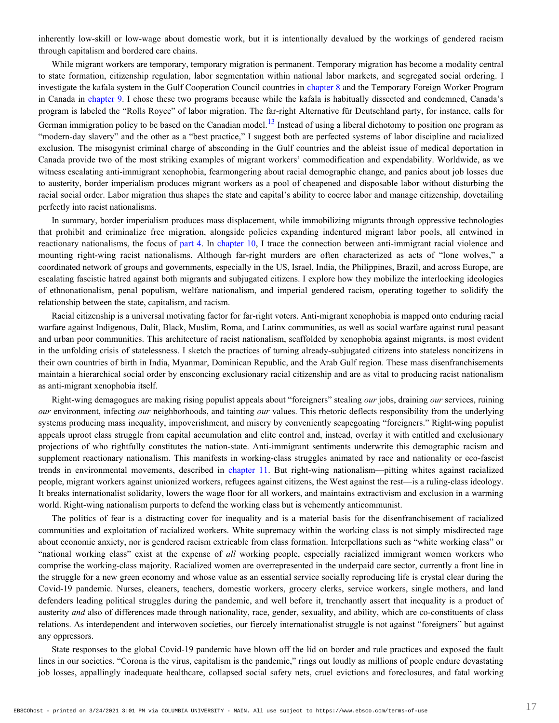inherently low-skill or low-wage about domestic work, but it is intentionally devalued by the workings of gendered racism through capitalism and bordered care chains.

While migrant workers are temporary, temporary migration is permanent. Temporary migration has become a modality central to state formation, citizenship regulation, labor segmentation within national labor markets, and segregated social ordering. I investigate the kafala system in the Gulf Cooperation Council countries in chapter 8 and the Temporary Foreign Worker Program in Canada in chapter 9. I chose these two programs because while the kafala is habitually dissected and condemned, Canada's program is labeled the "Rolls Royce" of labor migration. The far-right Alternative für Deutschland party, for instance, calls for German immigration policy to be based on the Canadian model.<sup>13</sup> Instead of using a liberal dichotomy to position one program as "modern-day slavery" and the other as a "best practice," I suggest both are perfected systems of labor discipline and racialized exclusion. The misogynist criminal charge of absconding in the Gulf countries and the ableist issue of medical deportation in Canada provide two of the most striking examples of migrant workers' commodification and expendability. Worldwide, as we witness escalating anti-immigrant xenophobia, fearmongering about racial demographic change, and panics about job losses due to austerity, border imperialism produces migrant workers as a pool of cheapened and disposable labor without disturbing the racial social order. Labor migration thus shapes the state and capital's ability to coerce labor and manage citizenship, dovetailing perfectly into racist nationalisms.

In summary, border imperialism produces mass displacement, while immobilizing migrants through oppressive technologies that prohibit and criminalize free migration, alongside policies expanding indentured migrant labor pools, all entwined in reactionary nationalisms, the focus of part 4. In chapter 10, I trace the connection between anti-immigrant racial violence and mounting right-wing racist nationalisms. Although far-right murders are often characterized as acts of "lone wolves," a coordinated network of groups and governments, especially in the US, Israel, India, the Philippines, Brazil, and across Europe, are escalating fascistic hatred against both migrants and subjugated citizens. I explore how they mobilize the interlocking ideologies of ethnonationalism, penal populism, welfare nationalism, and imperial gendered racism, operating together to solidify the relationship between the state, capitalism, and racism.

Racial citizenship is a universal motivating factor for far-right voters. Anti-migrant xenophobia is mapped onto enduring racial warfare against Indigenous, Dalit, Black, Muslim, Roma, and Latinx communities, as well as social warfare against rural peasant and urban poor communities. This architecture of racist nationalism, scaffolded by xenophobia against migrants, is most evident in the unfolding crisis of statelessness. I sketch the practices of turning already-subjugated citizens into stateless noncitizens in their own countries of birth in India, Myanmar, Dominican Republic, and the Arab Gulf region. These mass disenfranchisements maintain a hierarchical social order by ensconcing exclusionary racial citizenship and are as vital to producing racist nationalism as anti-migrant xenophobia itself.

Right-wing demagogues are making rising populist appeals about "foreigners" stealing *our* jobs, draining *our* services, ruining *our* environment, infecting *our* neighborhoods, and tainting *our* values. This rhetoric deflects responsibility from the underlying systems producing mass inequality, impoverishment, and misery by conveniently scapegoating "foreigners." Right-wing populist appeals uproot class struggle from capital accumulation and elite control and, instead, overlay it with entitled and exclusionary projections of who rightfully constitutes the nation-state. Anti-immigrant sentiments underwrite this demographic racism and supplement reactionary nationalism. This manifests in working-class struggles animated by race and nationality or eco-fascist trends in environmental movements, described in chapter 11. But right-wing nationalism—pitting whites against racialized people, migrant workers against unionized workers, refugees against citizens, the West against the rest—is a ruling-class ideology. It breaks internationalist solidarity, lowers the wage floor for all workers, and maintains extractivism and exclusion in a warming world. Right-wing nationalism purports to defend the working class but is vehemently anticommunist.

The politics of fear is a distracting cover for inequality and is a material basis for the disenfranchisement of racialized communities and exploitation of racialized workers. White supremacy within the working class is not simply misdirected rage about economic anxiety, nor is gendered racism extricable from class formation. Interpellations such as "white working class" or "national working class" exist at the expense of *all* working people, especially racialized immigrant women workers who comprise the working-class majority. Racialized women are overrepresented in the underpaid care sector, currently a front line in the struggle for a new green economy and whose value as an essential service socially reproducing life is crystal clear during the Covid-19 pandemic. Nurses, cleaners, teachers, domestic workers, grocery clerks, service workers, single mothers, and land defenders leading political struggles during the pandemic, and well before it, trenchantly assert that inequality is a product of austerity *and* also of differences made through nationality, race, gender, sexuality, and ability, which are co-constituents of class relations. As interdependent and interwoven societies, our fiercely internationalist struggle is not against "foreigners" but against any oppressors.

State responses to the global Covid-19 pandemic have blown off the lid on border and rule practices and exposed the fault lines in our societies. "Corona is the virus, capitalism is the pandemic," rings out loudly as millions of people endure devastating job losses, appallingly inadequate healthcare, collapsed social safety nets, cruel evictions and foreclosures, and fatal working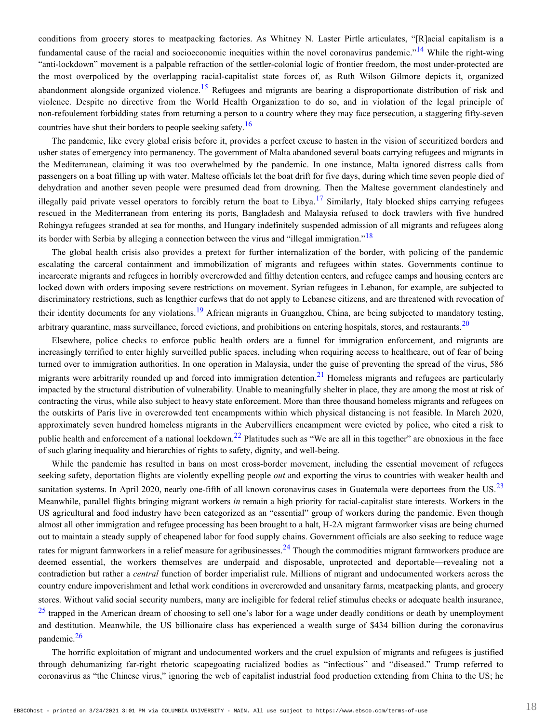conditions from grocery stores to meatpacking factories. As Whitney N. Laster Pirtle articulates, "[R]acial capitalism is a fundamental cause of the racial and socioeconomic inequities within the novel coronavirus pandemic."<sup>14</sup> While the right-wing "anti-lockdown" movement is a palpable refraction of the settler-colonial logic of frontier freedom, the most under-protected are the most overpoliced by the overlapping racial-capitalist state forces of, as Ruth Wilson Gilmore depicts it, organized abandonment alongside organized violence.<sup>15</sup> Refugees and migrants are bearing a disproportionate distribution of risk and violence. Despite no directive from the World Health Organization to do so, and in violation of the legal principle of non-refoulement forbidding states from returning a person to a country where they may face persecution, a staggering fifty-seven countries have shut their borders to people seeking safety.<sup>16</sup>

The pandemic, like every global crisis before it, provides a perfect excuse to hasten in the vision of securitized borders and usher states of emergency into permanency. The government of Malta abandoned several boats carrying refugees and migrants in the Mediterranean, claiming it was too overwhelmed by the pandemic. In one instance, Malta ignored distress calls from passengers on a boat filling up with water. Maltese officials let the boat drift for five days, during which time seven people died of dehydration and another seven people were presumed dead from drowning. Then the Maltese government clandestinely and illegally paid private vessel operators to forcibly return the boat to Libya.<sup>17</sup> Similarly, Italy blocked ships carrying refugees rescued in the Mediterranean from entering its ports, Bangladesh and Malaysia refused to dock trawlers with five hundred Rohingya refugees stranded at sea for months, and Hungary indefinitely suspended admission of all migrants and refugees along its border with Serbia by alleging a connection between the virus and "illegal immigration."<sup>18</sup>

The global health crisis also provides a pretext for further internalization of the border, with policing of the pandemic escalating the carceral containment and immobilization of migrants and refugees within states. Governments continue to incarcerate migrants and refugees in horribly overcrowded and filthy detention centers, and refugee camps and housing centers are locked down with orders imposing severe restrictions on movement. Syrian refugees in Lebanon, for example, are subjected to discriminatory restrictions, such as lengthier curfews that do not apply to Lebanese citizens, and are threatened with revocation of their identity documents for any violations.<sup>19</sup> African migrants in Guangzhou, China, are being subjected to mandatory testing, arbitrary quarantine, mass surveillance, forced evictions, and prohibitions on entering hospitals, stores, and restaurants. $20$ 

Elsewhere, police checks to enforce public health orders are a funnel for immigration enforcement, and migrants are increasingly terrified to enter highly surveilled public spaces, including when requiring access to healthcare, out of fear of being turned over to immigration authorities. In one operation in Malaysia, under the guise of preventing the spread of the virus, 586 migrants were arbitrarily rounded up and forced into immigration detention.<sup>21</sup> Homeless migrants and refugees are particularly impacted by the structural distribution of vulnerability. Unable to meaningfully shelter in place, they are among the most at risk of contracting the virus, while also subject to heavy state enforcement. More than three thousand homeless migrants and refugees on the outskirts of Paris live in overcrowded tent encampments within which physical distancing is not feasible. In March 2020, approximately seven hundred homeless migrants in the Aubervilliers encampment were evicted by police, who cited a risk to public health and enforcement of a national lockdown.<sup>22</sup> Platitudes such as "We are all in this together" are obnoxious in the face of such glaring inequality and hierarchies of rights to safety, dignity, and well-being.

While the pandemic has resulted in bans on most cross-border movement, including the essential movement of refugees seeking safety, deportation flights are violently expelling people *out* and exporting the virus to countries with weaker health and sanitation systems. In April 2020, nearly one-fifth of all known coronavirus cases in Guatemala were deportees from the US.<sup>23</sup> Meanwhile, parallel flights bringing migrant workers *in* remain a high priority for racial-capitalist state interests. Workers in the US agricultural and food industry have been categorized as an "essential" group of workers during the pandemic. Even though almost all other immigration and refugee processing has been brought to a halt, H-2A migrant farmworker visas are being churned out to maintain a steady supply of cheapened labor for food supply chains. Government officials are also seeking to reduce wage rates for migrant farmworkers in a relief measure for agribusinesses. $24$  Though the commodities migrant farmworkers produce are deemed essential, the workers themselves are underpaid and disposable, unprotected and deportable—revealing not a contradiction but rather a *central* function of border imperialist rule. Millions of migrant and undocumented workers across the country endure impoverishment and lethal work conditions in overcrowded and unsanitary farms, meatpacking plants, and grocery stores. Without valid social security numbers, many are ineligible for federal relief stimulus checks or adequate health insurance,  $\frac{25}{25}$  trapped in the American dream of choosing to sell one's labor for a wage under deadly conditions or death by unemployment and destitution. Meanwhile, the US billionaire class has experienced a wealth surge of \$434 billion during the coronavirus pandemic.<sup>26</sup>

The horrific exploitation of migrant and undocumented workers and the cruel expulsion of migrants and refugees is justified through dehumanizing far-right rhetoric scapegoating racialized bodies as "infectious" and "diseased." Trump referred to coronavirus as "the Chinese virus," ignoring the web of capitalist industrial food production extending from China to the US; he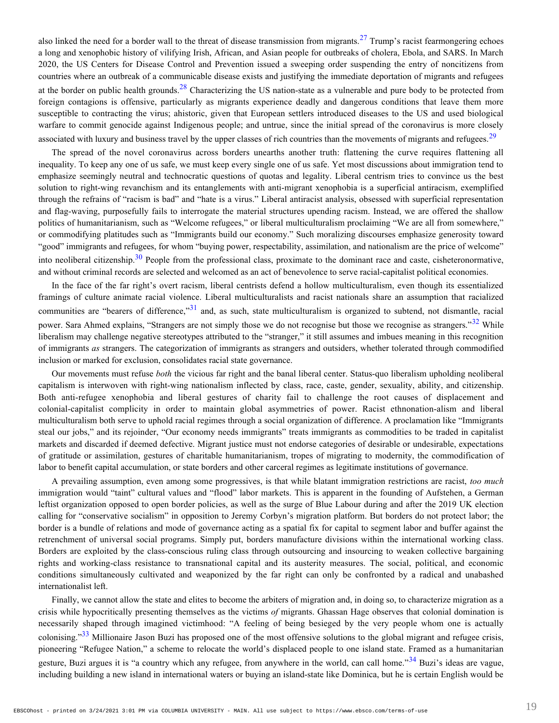also linked the need for a border wall to the threat of disease transmission from migrants.  $27$  Trump's racist fearmongering echoes a long and xenophobic history of vilifying Irish, African, and Asian people for outbreaks of cholera, Ebola, and SARS. In March 2020, the US Centers for Disease Control and Prevention issued a sweeping order suspending the entry of noncitizens from countries where an outbreak of a communicable disease exists and justifying the immediate deportation of migrants and refugees at the border on public health grounds.  $28$  Characterizing the US nation-state as a vulnerable and pure body to be protected from foreign contagions is offensive, particularly as migrants experience deadly and dangerous conditions that leave them more susceptible to contracting the virus; ahistoric, given that European settlers introduced diseases to the US and used biological warfare to commit genocide against Indigenous people; and untrue, since the initial spread of the coronavirus is more closely associated with luxury and business travel by the upper classes of rich countries than the movements of migrants and refugees.<sup>29</sup>

The spread of the novel coronavirus across borders unearths another truth: flattening the curve requires flattening all inequality. To keep any one of us safe, we must keep every single one of us safe. Yet most discussions about immigration tend to emphasize seemingly neutral and technocratic questions of quotas and legality. Liberal centrism tries to convince us the best solution to right-wing revanchism and its entanglements with anti-migrant xenophobia is a superficial antiracism, exemplified through the refrains of "racism is bad" and "hate is a virus." Liberal antiracist analysis, obsessed with superficial representation and flag-waving, purposefully fails to interrogate the material structures upending racism. Instead, we are offered the shallow politics of humanitarianism, such as "Welcome refugees," or liberal multiculturalism proclaiming "We are all from somewhere," or commodifying platitudes such as "Immigrants build our economy." Such moralizing discourses emphasize generosity toward "good" immigrants and refugees, for whom "buying power, respectability, assimilation, and nationalism are the price of welcome" into neoliberal citizenship.<sup>30</sup> People from the professional class, proximate to the dominant race and caste, cisheteronormative, and without criminal records are selected and welcomed as an act of benevolence to serve racial-capitalist political economies.

In the face of the far right's overt racism, liberal centrists defend a hollow multiculturalism, even though its essentialized framings of culture animate racial violence. Liberal multiculturalists and racist nationals share an assumption that racialized communities are "bearers of difference,"  $31$  and, as such, state multiculturalism is organized to subtend, not dismantle, racial power. Sara Ahmed explains, "Strangers are not simply those we do not recognise but those we recognise as strangers."<sup>32</sup> While liberalism may challenge negative stereotypes attributed to the "stranger," it still assumes and imbues meaning in this recognition of immigrants *as* strangers. The categorization of immigrants as strangers and outsiders, whether tolerated through commodified inclusion or marked for exclusion, consolidates racial state governance.

Our movements must refuse *both* the vicious far right and the banal liberal center. Status-quo liberalism upholding neoliberal capitalism is interwoven with right-wing nationalism inflected by class, race, caste, gender, sexuality, ability, and citizenship. Both anti-refugee xenophobia and liberal gestures of charity fail to challenge the root causes of displacement and colonial-capitalist complicity in order to maintain global asymmetries of power. Racist ethnonation-alism and liberal multiculturalism both serve to uphold racial regimes through a social organization of difference. A proclamation like "Immigrants steal our jobs," and its rejoinder, "Our economy needs immigrants" treats immigrants as commodities to be traded in capitalist markets and discarded if deemed defective. Migrant justice must not endorse categories of desirable or undesirable, expectations of gratitude or assimilation, gestures of charitable humanitarianism, tropes of migrating to modernity, the commodification of labor to benefit capital accumulation, or state borders and other carceral regimes as legitimate institutions of governance.

A prevailing assumption, even among some progressives, is that while blatant immigration restrictions are racist, *too much* immigration would "taint" cultural values and "flood" labor markets. This is apparent in the founding of Aufstehen, a German leftist organization opposed to open border policies, as well as the surge of Blue Labour during and after the 2019 UK election calling for "conservative socialism" in opposition to Jeremy Corbyn's migration platform. But borders do not protect labor; the border is a bundle of relations and mode of governance acting as a spatial fix for capital to segment labor and buffer against the retrenchment of universal social programs. Simply put, borders manufacture divisions within the international working class. Borders are exploited by the class-conscious ruling class through outsourcing and insourcing to weaken collective bargaining rights and working-class resistance to transnational capital and its austerity measures. The social, political, and economic conditions simultaneously cultivated and weaponized by the far right can only be confronted by a radical and unabashed internationalist left.

Finally, we cannot allow the state and elites to become the arbiters of migration and, in doing so, to characterize migration as a crisis while hypocritically presenting themselves as the victims *of* migrants. Ghassan Hage observes that colonial domination is necessarily shaped through imagined victimhood: "A feeling of being besieged by the very people whom one is actually colonising."<sup>33</sup> Millionaire Jason Buzi has proposed one of the most offensive solutions to the global migrant and refugee crisis, pioneering "Refugee Nation," a scheme to relocate the world's displaced people to one island state. Framed as a humanitarian gesture, Buzi argues it is "a country which any refugee, from anywhere in the world, can call home."<sup>34</sup> Buzi's ideas are vague, including building a new island in international waters or buying an island-state like Dominica, but he is certain English would be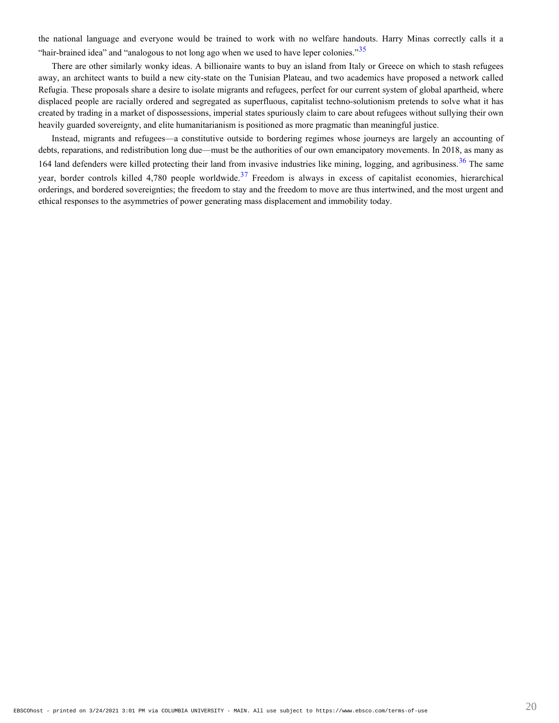the national language and everyone would be trained to work with no welfare handouts. Harry Minas correctly calls it a "hair-brained idea" and "analogous to not long ago when we used to have leper colonies."<sup>35</sup>

There are other similarly wonky ideas. A billionaire wants to buy an island from Italy or Greece on which to stash refugees away, an architect wants to build a new city-state on the Tunisian Plateau, and two academics have proposed a network called Refugia. These proposals share a desire to isolate migrants and refugees, perfect for our current system of global apartheid, where displaced people are racially ordered and segregated as superfluous, capitalist techno-solutionism pretends to solve what it has created by trading in a market of dispossessions, imperial states spuriously claim to care about refugees without sullying their own heavily guarded sovereignty, and elite humanitarianism is positioned as more pragmatic than meaningful justice.

Instead, migrants and refugees—a constitutive outside to bordering regimes whose journeys are largely an accounting of debts, reparations, and redistribution long due—must be the authorities of our own emancipatory movements. In 2018, as many as 164 land defenders were killed protecting their land from invasive industries like mining, logging, and agribusiness.<sup>36</sup> The same year, border controls killed 4,780 people worldwide.<sup>37</sup> Freedom is always in excess of capitalist economies, hierarchical orderings, and bordered sovereignties; the freedom to stay and the freedom to move are thus intertwined, and the most urgent and ethical responses to the asymmetries of power generating mass displacement and immobility today.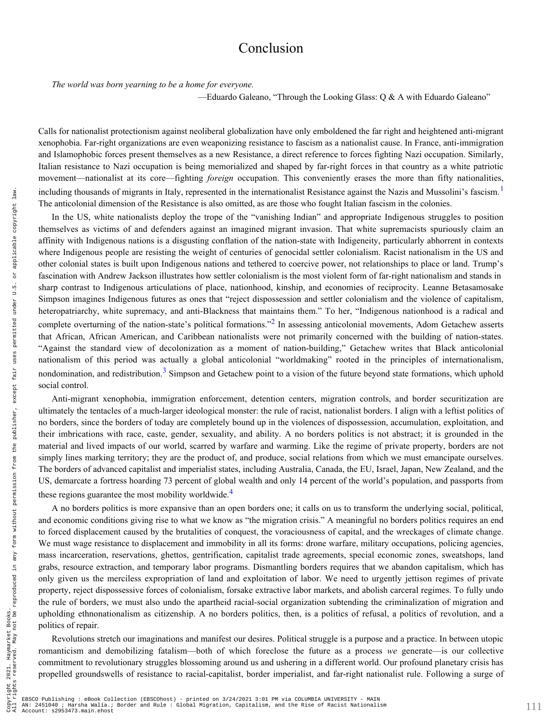## Conclusion

*The world was born yearning to be a home for everyone.*

—Eduardo Galeano, "Through the Looking Glass: Q & A with Eduardo Galeano"

Calls for nationalist protectionism against neoliberal globalization have only emboldened the far right and heightened anti-migrant xenophobia. Far-right organizations are even weaponizing resistance to fascism as a nationalist cause. In France, anti-immigration and Islamophobic forces present themselves as a new Resistance, a direct reference to forces fighting Nazi occupation. Similarly, Italian resistance to Nazi occupation is being memorialized and shaped by far-right forces in that country as a white patriotic movement—nationalist at its core—fighting *foreign* occupation. This conveniently erases the more than fifty nationalities,

including thousands of migrants in Italy, represented in the internationalist Resistance against the Nazis and Mussolini's fascism.<sup>1</sup> The anticolonial dimension of the Resistance is also omitted, as are those who fought Italian fascism in the colonies.

In the US, white nationalists deploy the trope of the "vanishing Indian" and appropriate Indigenous struggles to position themselves as victims of and defenders against an imagined migrant invasion. That white supremacists spuriously claim an affinity with Indigenous nations is a disgusting conflation of the nation-state with Indigeneity, particularly abhorrent in contexts where Indigenous people are resisting the weight of centuries of genocidal settler colonialism. Racist nationalism in the US and other colonial states is built upon Indigenous nations and tethered to coercive power, not relationships to place or land. Trump's fascination with Andrew Jackson illustrates how settler colonialism is the most violent form of far-right nationalism and stands in sharp contrast to Indigenous articulations of place, nationhood, kinship, and economies of reciprocity. Leanne Betasamosake Simpson imagines Indigenous futures as ones that "reject dispossession and settler colonialism and the violence of capitalism, heteropatriarchy, white supremacy, and anti-Blackness that maintains them." To her, "Indigenous nationhood is a radical and complete overturning of the nation-state's political formations."<sup>2</sup> In assessing anticolonial movements, Adom Getachew asserts that African, African American, and Caribbean nationalists were not primarily concerned with the building of nation-states. "Against the standard view of decolonization as a moment of nation-building," Getachew writes that Black anticolonial nationalism of this period was actually a global anticolonial "worldmaking" rooted in the principles of internationalism, nondomination, and redistribution.<sup>3</sup> Simpson and Getachew point to a vision of the future beyond state formations, which uphold social control.

Anti-migrant xenophobia, immigration enforcement, detention centers, migration controls, and border securitization are ultimately the tentacles of a much-larger ideological monster: the rule of racist, nationalist borders. I align with a leftist politics of no borders, since the borders of today are completely bound up in the violences of dispossession, accumulation, exploitation, and their imbrications with race, caste, gender, sexuality, and ability. A no borders politics is not abstract; it is grounded in the material and lived impacts of our world, scarred by warfare and warming. Like the regime of private property, borders are not simply lines marking territory; they are the product of, and produce, social relations from which we must emancipate ourselves. The borders of advanced capitalist and imperialist states, including Australia, Canada, the EU, Israel, Japan, New Zealand, and the US, demarcate a fortress hoarding 73 percent of global wealth and only 14 percent of the world's population, and passports from these regions guarantee the most mobility worldwide.<sup>4</sup>

A no borders politics is more expansive than an open borders one; it calls on us to transform the underlying social, political, and economic conditions giving rise to what we know as "the migration crisis." A meaningful no borders politics requires an end to forced displacement caused by the brutalities of conquest, the voraciousness of capital, and the wreckages of climate change. We must wage resistance to displacement and immobility in all its forms: drone warfare, military occupations, policing agencies, mass incarceration, reservations, ghettos, gentrification, capitalist trade agreements, special economic zones, sweatshops, land grabs, resource extraction, and temporary labor programs. Dismantling borders requires that we abandon capitalism, which has only given us the merciless expropriation of land and exploitation of labor. We need to urgently jettison regimes of private property, reject dispossessive forces of colonialism, forsake extractive labor markets, and abolish carceral regimes. To fully undo the rule of borders, we must also undo the apartheid racial-social organization subtending the criminalization of migration and upholding ethnonationalism as citizenship. A no borders politics, then, is a politics of refusal, a politics of revolution, and a politics of repair.

Revolutions stretch our imaginations and manifest our desires. Political struggle is a purpose and a practice. In between utopic romanticism and demobilizing fatalism—both of which foreclose the future as a process *we* generate—is our collective commitment to revolutionary struggles blossoming around us and ushering in a different world. Our profound planetary crisis has propelled groundswells of resistance to racial-capitalist, border imperialist, and far-right nationalist rule. Following a surge of